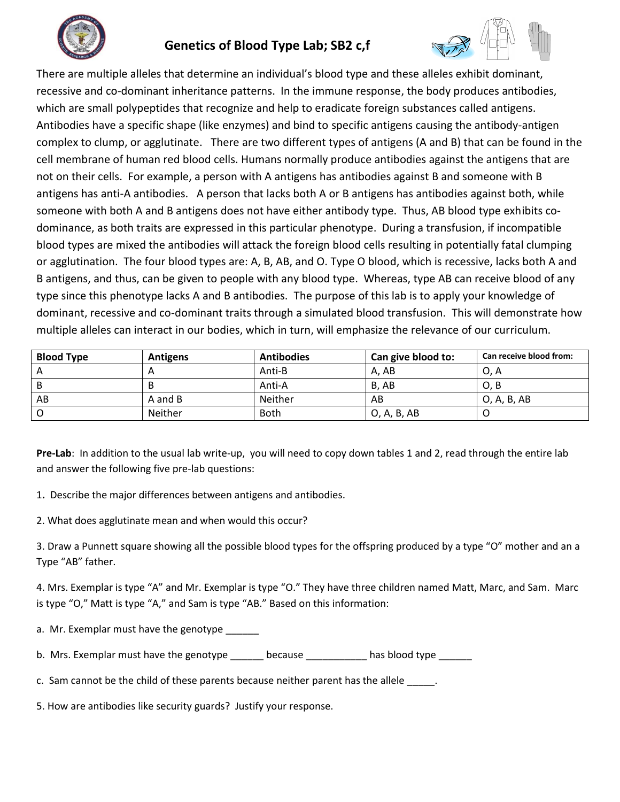

# **Genetics of Blood Type Lab; SB2 c,f**



There are multiple alleles that determine an individual's blood type and these alleles exhibit dominant, recessive and co-dominant inheritance patterns. In the immune response, the body produces antibodies, which are small polypeptides that recognize and help to eradicate foreign substances called antigens. Antibodies have a specific shape (like enzymes) and bind to specific antigens causing the antibody-antigen complex to clump, or agglutinate. There are two different types of antigens (A and B) that can be found in the cell membrane of human red blood cells. Humans normally produce antibodies against the antigens that are not on their cells. For example, a person with A antigens has antibodies against B and someone with B antigens has anti-A antibodies. A person that lacks both A or B antigens has antibodies against both, while someone with both A and B antigens does not have either antibody type. Thus, AB blood type exhibits codominance, as both traits are expressed in this particular phenotype. During a transfusion, if incompatible blood types are mixed the antibodies will attack the foreign blood cells resulting in potentially fatal clumping or agglutination. The four blood types are: A, B, AB, and O. Type O blood, which is recessive, lacks both A and B antigens, and thus, can be given to people with any blood type. Whereas, type AB can receive blood of any type since this phenotype lacks A and B antibodies. The purpose of this lab is to apply your knowledge of dominant, recessive and co-dominant traits through a simulated blood transfusion. This will demonstrate how multiple alleles can interact in our bodies, which in turn, will emphasize the relevance of our curriculum.

| <b>Blood Type</b> | Antigens | <b>Antibodies</b> | Can give blood to: | Can receive blood from: |
|-------------------|----------|-------------------|--------------------|-------------------------|
|                   |          | Anti-B            | A, AB              | 0, A                    |
|                   |          | Anti-A            | B, AB              | O, B                    |
| AB                | A and B  | Neither           | AB                 | O, A, B, AB             |
|                   | Neither  | <b>Both</b>       | O, A, B, AB        |                         |

**Pre-Lab**: In addition to the usual lab write-up, you will need to copy down tables 1 and 2, read through the entire lab and answer the following five pre-lab questions:

1**.** Describe the major differences between antigens and antibodies.

2. What does agglutinate mean and when would this occur?

3. Draw a Punnett square showing all the possible blood types for the offspring produced by a type "O" mother and an a Type "AB" father.

4. Mrs. Exemplar is type "A" and Mr. Exemplar is type "O." They have three children named Matt, Marc, and Sam. Marc is type "O," Matt is type "A," and Sam is type "AB." Based on this information:

a. Mr. Exemplar must have the genotype \_\_\_\_

b. Mrs. Exemplar must have the genotype \_\_\_\_\_\_\_ because \_\_\_\_\_\_\_\_\_\_ has blood type \_\_\_\_\_

c. Sam cannot be the child of these parents because neither parent has the allele \_\_\_\_\_.

5. How are antibodies like security guards? Justify your response.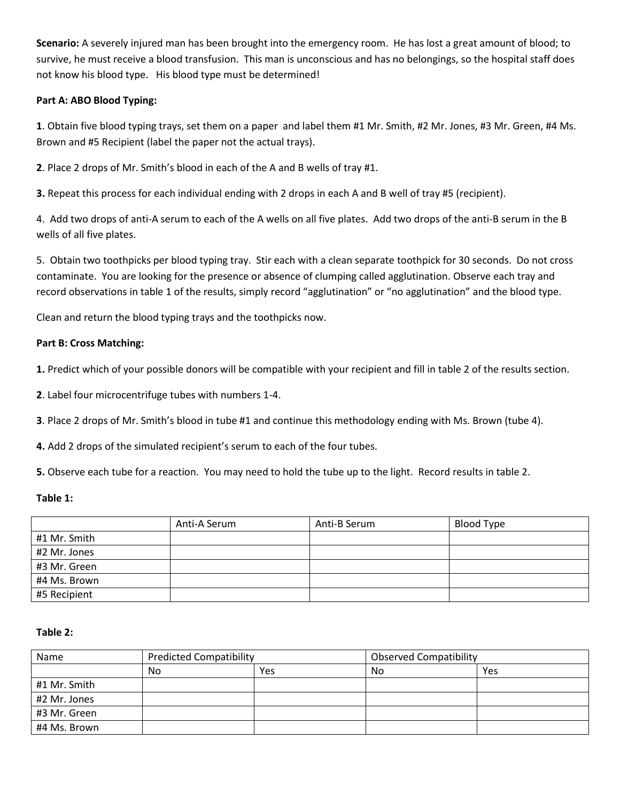**Scenario:** A severely injured man has been brought into the emergency room. He has lost a great amount of blood; to survive, he must receive a blood transfusion. This man is unconscious and has no belongings, so the hospital staff does not know his blood type. His blood type must be determined!

# **Part A: ABO Blood Typing:**

**1**. Obtain five blood typing trays, set them on a paper and label them #1 Mr. Smith, #2 Mr. Jones, #3 Mr. Green, #4 Ms. Brown and #5 Recipient (label the paper not the actual trays).

**2**. Place 2 drops of Mr. Smith's blood in each of the A and B wells of tray #1.

**3.** Repeat this process for each individual ending with 2 drops in each A and B well of tray #5 (recipient).

4. Add two drops of anti-A serum to each of the A wells on all five plates. Add two drops of the anti-B serum in the B wells of all five plates.

5. Obtain two toothpicks per blood typing tray. Stir each with a clean separate toothpick for 30 seconds. Do not cross contaminate. You are looking for the presence or absence of clumping called agglutination. Observe each tray and record observations in table 1 of the results, simply record "agglutination" or "no agglutination" and the blood type.

Clean and return the blood typing trays and the toothpicks now.

## **Part B: Cross Matching:**

**1.** Predict which of your possible donors will be compatible with your recipient and fill in table 2 of the results section.

**2**. Label four microcentrifuge tubes with numbers 1-4.

**3**. Place 2 drops of Mr. Smith's blood in tube #1 and continue this methodology ending with Ms. Brown (tube 4).

**4.** Add 2 drops of the simulated recipient's serum to each of the four tubes.

**5.** Observe each tube for a reaction. You may need to hold the tube up to the light. Record results in table 2.

#### **Table 1:**

|              | Anti-A Serum | Anti-B Serum | Blood Type |
|--------------|--------------|--------------|------------|
| #1 Mr. Smith |              |              |            |
| #2 Mr. Jones |              |              |            |
| #3 Mr. Green |              |              |            |
| #4 Ms. Brown |              |              |            |
| #5 Recipient |              |              |            |

#### **Table 2:**

| Name         | <b>Predicted Compatibility</b> |            | <b>Observed Compatibility</b> |     |
|--------------|--------------------------------|------------|-------------------------------|-----|
|              | No                             | <b>Yes</b> | No                            | Yes |
| #1 Mr. Smith |                                |            |                               |     |
| #2 Mr. Jones |                                |            |                               |     |
| #3 Mr. Green |                                |            |                               |     |
| #4 Ms. Brown |                                |            |                               |     |